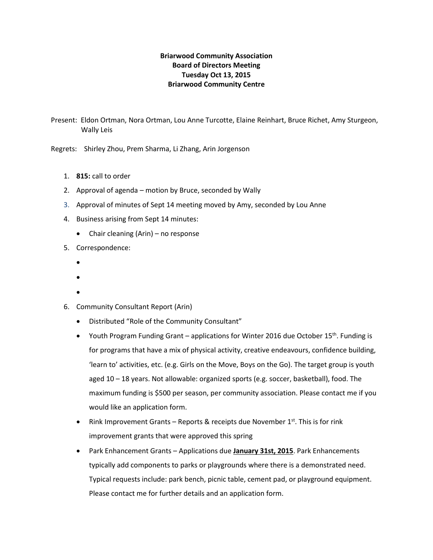# **Briarwood Community Association Board of Directors Meeting Tuesday Oct 13, 2015 Briarwood Community Centre**

Present: Eldon Ortman, Nora Ortman, Lou Anne Turcotte, Elaine Reinhart, Bruce Richet, Amy Sturgeon, Wally Leis

Regrets: Shirley Zhou, Prem Sharma, Li Zhang, Arin Jorgenson

- 1. **815:** call to order
- 2. Approval of agenda motion by Bruce, seconded by Wally
- 3. Approval of minutes of Sept 14 meeting moved by Amy, seconded by Lou Anne
- 4. Business arising from Sept 14 minutes:
	- Chair cleaning (Arin) no response
- 5. Correspondence:
	- •
	- •
	- •
- 6. Community Consultant Report (Arin)
	- Distributed "Role of the Community Consultant"
	- Youth Program Funding Grant applications for Winter 2016 due October 15<sup>th</sup>. Funding is for programs that have a mix of physical activity, creative endeavours, confidence building, 'learn to' activities, etc. (e.g. Girls on the Move, Boys on the Go). The target group is youth aged 10 – 18 years. Not allowable: organized sports (e.g. soccer, basketball), food. The maximum funding is \$500 per season, per community association. Please contact me if you would like an application form.
	- Rink Improvement Grants Reports & receipts due November  $1<sup>st</sup>$ . This is for rink improvement grants that were approved this spring
	- Park Enhancement Grants Applications due **January 31st, 2015**. Park Enhancements typically add components to parks or playgrounds where there is a demonstrated need. Typical requests include: park bench, picnic table, cement pad, or playground equipment. Please contact me for further details and an application form.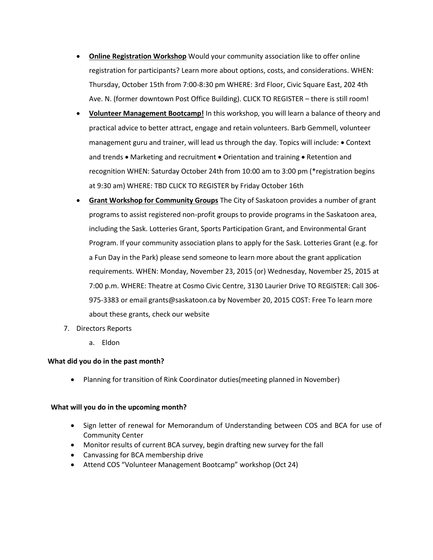- **Online Registration Workshop** Would your community association like to offer online registration for participants? Learn more about options, costs, and considerations. WHEN: Thursday, October 15th from 7:00-8:30 pm WHERE: 3rd Floor, Civic Square East, 202 4th Ave. N. (former downtown Post Office Building). CLICK TO REGISTER – there is still room!
- **Volunteer Management Bootcamp!** In this workshop, you will learn a balance of theory and practical advice to better attract, engage and retain volunteers. Barb Gemmell, volunteer management guru and trainer, will lead us through the day. Topics will include: • Context and trends • Marketing and recruitment • Orientation and training • Retention and recognition WHEN: Saturday October 24th from 10:00 am to 3:00 pm (\*registration begins at 9:30 am) WHERE: TBD CLICK TO REGISTER by Friday October 16th
- **Grant Workshop for Community Groups** The City of Saskatoon provides a number of grant programs to assist registered non-profit groups to provide programs in the Saskatoon area, including the Sask. Lotteries Grant, Sports Participation Grant, and Environmental Grant Program. If your community association plans to apply for the Sask. Lotteries Grant (e.g. for a Fun Day in the Park) please send someone to learn more about the grant application requirements. WHEN: Monday, November 23, 2015 (or) Wednesday, November 25, 2015 at 7:00 p.m. WHERE: Theatre at Cosmo Civic Centre, 3130 Laurier Drive TO REGISTER: Call 306- 975-3383 or email grants@saskatoon.ca by November 20, 2015 COST: Free To learn more about these grants, check our website
- 7. Directors Reports
	- a. Eldon

#### **What did you do in the past month?**

• Planning for transition of Rink Coordinator duties(meeting planned in November)

#### **What will you do in the upcoming month?**

- Sign letter of renewal for Memorandum of Understanding between COS and BCA for use of Community Center
- Monitor results of current BCA survey, begin drafting new survey for the fall
- Canvassing for BCA membership drive
- Attend COS "Volunteer Management Bootcamp" workshop (Oct 24)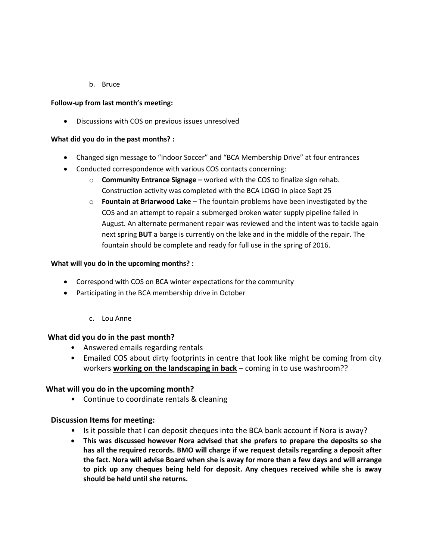b. Bruce

# **Follow-up from last month's meeting:**

• Discussions with COS on previous issues unresolved

# **What did you do in the past months? :**

- Changed sign message to "Indoor Soccer" and "BCA Membership Drive" at four entrances
- Conducted correspondence with various COS contacts concerning:
	- o **Community Entrance Signage –** worked with the COS to finalize sign rehab. Construction activity was completed with the BCA LOGO in place Sept 25
	- o **Fountain at Briarwood Lake** The fountain problems have been investigated by the COS and an attempt to repair a submerged broken water supply pipeline failed in August. An alternate permanent repair was reviewed and the intent was to tackle again next spring **BUT** a barge is currently on the lake and in the middle of the repair. The fountain should be complete and ready for full use in the spring of 2016.

# **What will you do in the upcoming months? :**

- Correspond with COS on BCA winter expectations for the community
- Participating in the BCA membership drive in October
	- c. Lou Anne

## **What did you do in the past month?**

- Answered emails regarding rentals
- Emailed COS about dirty footprints in centre that look like might be coming from city workers **working on the landscaping in back** – coming in to use washroom??

# **What will you do in the upcoming month?**

• Continue to coordinate rentals & cleaning

# **Discussion Items for meeting:**

- Is it possible that I can deposit cheques into the BCA bank account if Nora is away?
- **This was discussed however Nora advised that she prefers to prepare the deposits so she has all the required records. BMO will charge if we request details regarding a deposit after the fact. Nora will advise Board when she is away for more than a few days and will arrange to pick up any cheques being held for deposit. Any cheques received while she is away should be held until she returns.**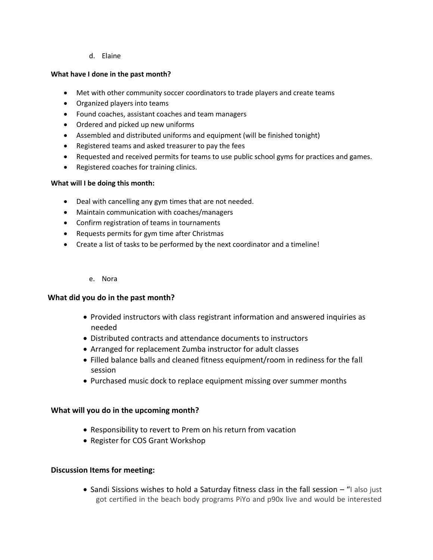# d. Elaine

# **What have I done in the past month?**

- Met with other community soccer coordinators to trade players and create teams
- Organized players into teams
- Found coaches, assistant coaches and team managers
- Ordered and picked up new uniforms
- Assembled and distributed uniforms and equipment (will be finished tonight)
- Registered teams and asked treasurer to pay the fees
- Requested and received permits for teams to use public school gyms for practices and games.
- Registered coaches for training clinics.

## **What will I be doing this month:**

- Deal with cancelling any gym times that are not needed.
- Maintain communication with coaches/managers
- Confirm registration of teams in tournaments
- Requests permits for gym time after Christmas
- Create a list of tasks to be performed by the next coordinator and a timeline!

#### e. Nora

## **What did you do in the past month?**

- Provided instructors with class registrant information and answered inquiries as needed
- Distributed contracts and attendance documents to instructors
- Arranged for replacement Zumba instructor for adult classes
- Filled balance balls and cleaned fitness equipment/room in rediness for the fall session
- Purchased music dock to replace equipment missing over summer months

## **What will you do in the upcoming month?**

- Responsibility to revert to Prem on his return from vacation
- Register for COS Grant Workshop

## **Discussion Items for meeting:**

• Sandi Sissions wishes to hold a Saturday fitness class in the fall session – "I also just got certified in the beach body programs PiYo and p90x live and would be interested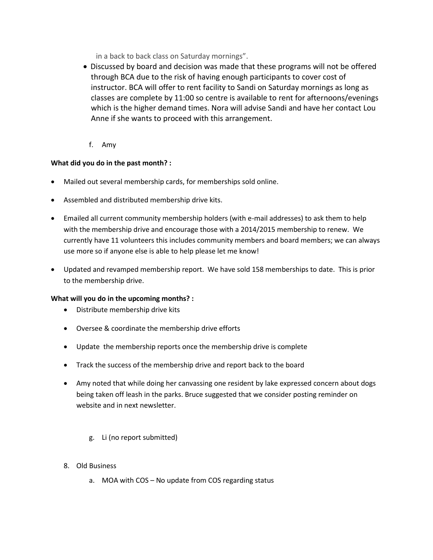in a back to back class on Saturday mornings".

- Discussed by board and decision was made that these programs will not be offered through BCA due to the risk of having enough participants to cover cost of instructor. BCA will offer to rent facility to Sandi on Saturday mornings as long as classes are complete by 11:00 so centre is available to rent for afternoons/evenings which is the higher demand times. Nora will advise Sandi and have her contact Lou Anne if she wants to proceed with this arrangement.
	- f. Amy

# **What did you do in the past month? :**

- Mailed out several membership cards, for memberships sold online.
- Assembled and distributed membership drive kits.
- Emailed all current community membership holders (with e-mail addresses) to ask them to help with the membership drive and encourage those with a 2014/2015 membership to renew. We currently have 11 volunteers this includes community members and board members; we can always use more so if anyone else is able to help please let me know!
- Updated and revamped membership report. We have sold 158 memberships to date. This is prior to the membership drive.

## **What will you do in the upcoming months? :**

- Distribute membership drive kits
- Oversee & coordinate the membership drive efforts
- Update the membership reports once the membership drive is complete
- Track the success of the membership drive and report back to the board
- Amy noted that while doing her canvassing one resident by lake expressed concern about dogs being taken off leash in the parks. Bruce suggested that we consider posting reminder on website and in next newsletter.
	- g. Li (no report submitted)
- 8. Old Business
	- a. MOA with COS No update from COS regarding status